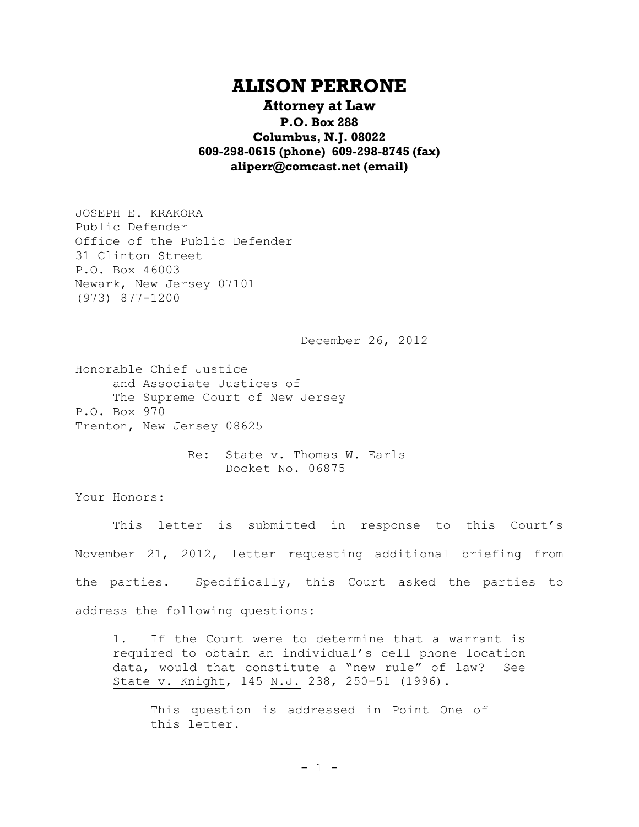# **ALISON PERRONE**

## **Attorney at Law**

**P.O. Box 288 Columbus, N.J. 08022 609-298-0615 (phone) 609-298-8745 (fax) [aliperr@comcast.net](mailto:aliperr@comcast.net) (email)**

JOSEPH E. KRAKORA Public Defender Office of the Public Defender 31 Clinton Street P.O. Box 46003 Newark, New Jersey 07101 (973) 877-1200

December 26, 2012

Honorable Chief Justice and Associate Justices of The Supreme Court of New Jersey P.O. Box 970 Trenton, New Jersey 08625

> Re: State v. Thomas W. Earls Docket No. 06875

Your Honors:

This letter is submitted in response to this Court's November 21, 2012, letter requesting additional briefing from the parties. Specifically, this Court asked the parties to address the following questions:

1. If the Court were to determine that a warrant is required to obtain an individual's cell phone location data, would that constitute a "new rule" of law? See State v. Knight, 145 N.J. 238, 250-51 (1996).

This question is addressed in Point One of this letter.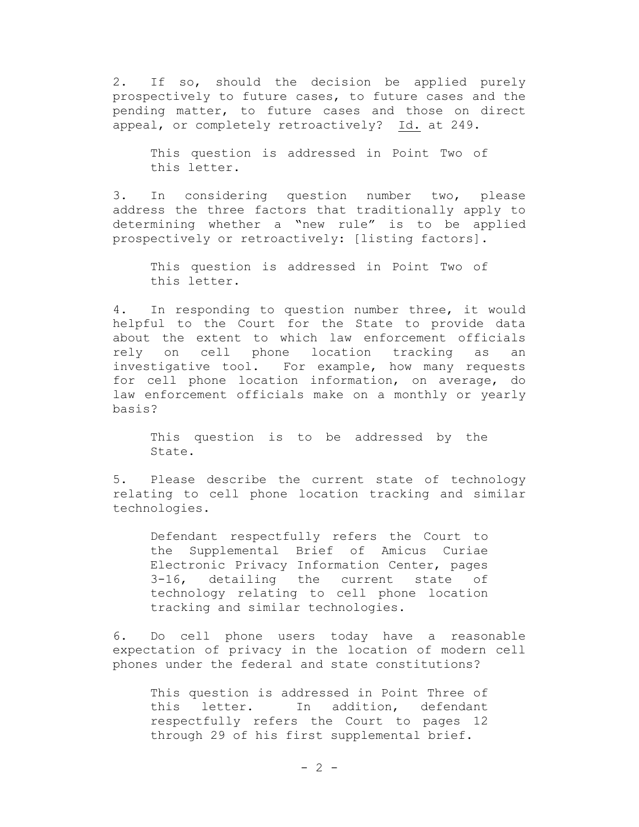2. If so, should the decision be applied purely prospectively to future cases, to future cases and the pending matter, to future cases and those on direct appeal, or completely retroactively? Id. at 249.

This question is addressed in Point Two of this letter.

3. In considering question number two, please address the three factors that traditionally apply to determining whether a "new rule" is to be applied prospectively or retroactively: [listing factors].

This question is addressed in Point Two of this letter.

4. In responding to question number three, it would helpful to the Court for the State to provide data about the extent to which law enforcement officials rely on cell phone location tracking as an investigative tool. For example, how many requests for cell phone location information, on average, do law enforcement officials make on a monthly or yearly basis?

This question is to be addressed by the State.

5. Please describe the current state of technology relating to cell phone location tracking and similar technologies.

Defendant respectfully refers the Court to the Supplemental Brief of Amicus Curiae Electronic Privacy Information Center, pages 3-16, detailing the current state of technology relating to cell phone location tracking and similar technologies.

6. Do cell phone users today have a reasonable expectation of privacy in the location of modern cell phones under the federal and state constitutions?

This question is addressed in Point Three of this letter. In addition, defendant respectfully refers the Court to pages 12 through 29 of his first supplemental brief.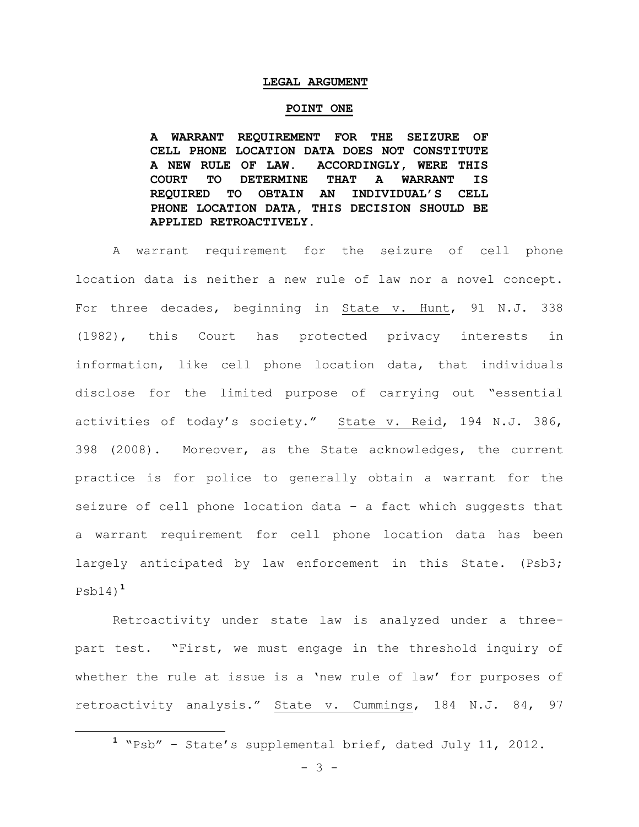#### **LEGAL ARGUMENT**

#### **POINT ONE**

**A WARRANT REQUIREMENT FOR THE SEIZURE OF CELL PHONE LOCATION DATA DOES NOT CONSTITUTE A NEW RULE OF LAW. ACCORDINGLY, WERE THIS COURT TO DETERMINE THAT A WARRANT IS REQUIRED TO OBTAIN AN INDIVIDUAL'S CELL PHONE LOCATION DATA, THIS DECISION SHOULD BE APPLIED RETROACTIVELY.**

A warrant requirement for the seizure of cell phone location data is neither a new rule of law nor a novel concept. For three decades, beginning in State v. Hunt, 91 N.J. 338 (1982), this Court has protected privacy interests in information, like cell phone location data, that individuals disclose for the limited purpose of carrying out "essential activities of today's society." State v. Reid, 194 N.J. 386, 398 (2008). Moreover, as the State acknowledges, the current practice is for police to generally obtain a warrant for the seizure of cell phone location data – a fact which suggests that a warrant requirement for cell phone location data has been largely anticipated by law enforcement in this State. (Psb3; Psb14) **1**

Retroactivity under state law is analyzed under a threepart test. "First, we must engage in the threshold inquiry of whether the rule at issue is a 'new rule of law' for purposes of retroactivity analysis." State v. Cummings, 184 N.J. 84, 97

- 3 -

÷.

**<sup>1</sup>** "Psb" – State's supplemental brief, dated July 11, 2012.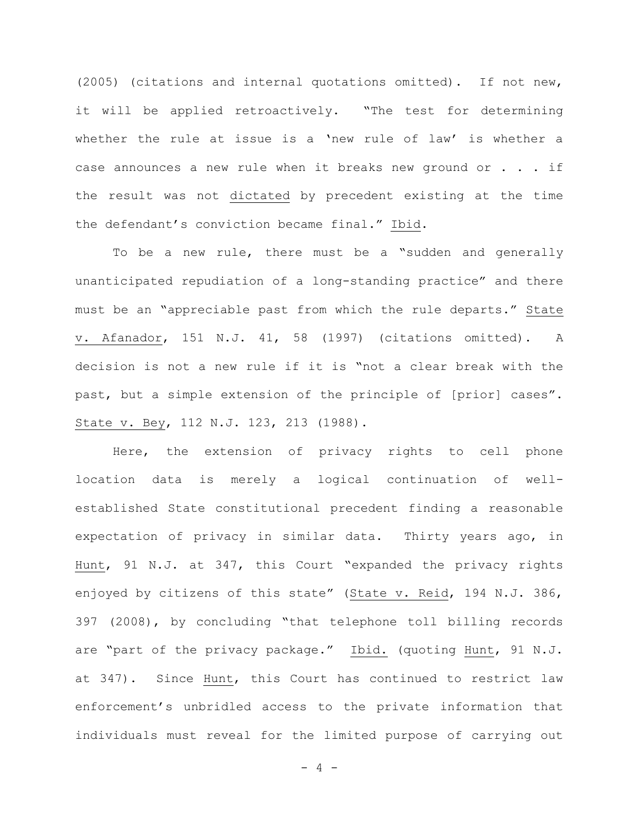(2005) (citations and internal quotations omitted). If not new, it will be applied retroactively. "The test for determining whether the rule at issue is a 'new rule of law' is whether a case announces a new rule when it breaks new ground or . . . if the result was not dictated by precedent existing at the time the defendant's conviction became final." Ibid.

To be a new rule, there must be a "sudden and generally unanticipated repudiation of a long-standing practice" and there must be an "appreciable past from which the rule departs." State v. Afanador, 151 N.J. 41, 58 (1997) (citations omitted). A decision is not a new rule if it is "not a clear break with the past, but a simple extension of the principle of [prior] cases". State v. Bey, 112 N.J. 123, 213 (1988).

Here, the extension of privacy rights to cell phone location data is merely a logical continuation of wellestablished State constitutional precedent finding a reasonable expectation of privacy in similar data. Thirty years ago, in Hunt, 91 N.J. at 347, this Court "expanded the privacy rights enjoyed by citizens of this state" (State v. Reid, 194 N.J. 386, 397 (2008), by concluding "that telephone toll billing records are "part of the privacy package." Ibid. (quoting Hunt, 91 N.J. at 347). Since Hunt, this Court has continued to restrict law enforcement's unbridled access to the private information that individuals must reveal for the limited purpose of carrying out

 $- 4 -$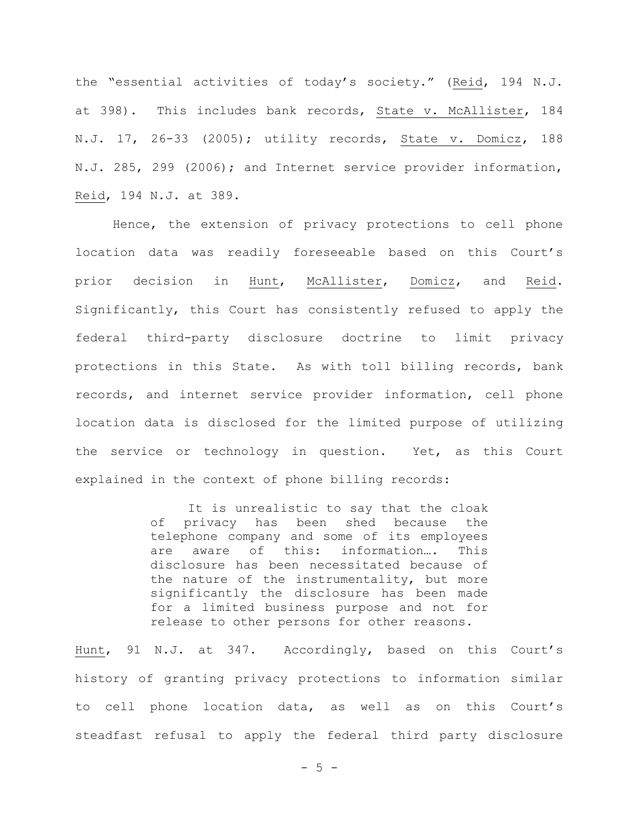the "essential activities of today's society." (Reid, 194 N.J. at 398). This includes bank records, State v. McAllister, 184 N.J. 17, 26-33 (2005); utility records, State v. Domicz, 188 N.J. 285, 299 (2006); and Internet service provider information, Reid, 194 N.J. at 389.

Hence, the extension of privacy protections to cell phone location data was readily foreseeable based on this Court's prior decision in Hunt, McAllister, Domicz, and Reid. Significantly, this Court has consistently refused to apply the federal third-party disclosure doctrine to limit privacy protections in this State. As with toll billing records, bank records, and internet service provider information, cell phone location data is disclosed for the limited purpose of utilizing the service or technology in question. Yet, as this Court explained in the context of phone billing records:

> It is unrealistic to say that the cloak of privacy has been shed because the telephone company and some of its employees are aware of this: information…. This disclosure has been necessitated because of the nature of the instrumentality, but more significantly the disclosure has been made for a limited business purpose and not for release to other persons for other reasons.

Hunt, 91 N.J. at 347. Accordingly, based on this Court's history of granting privacy protections to information similar to cell phone location data, as well as on this Court's steadfast refusal to apply the federal third party disclosure

- 5 -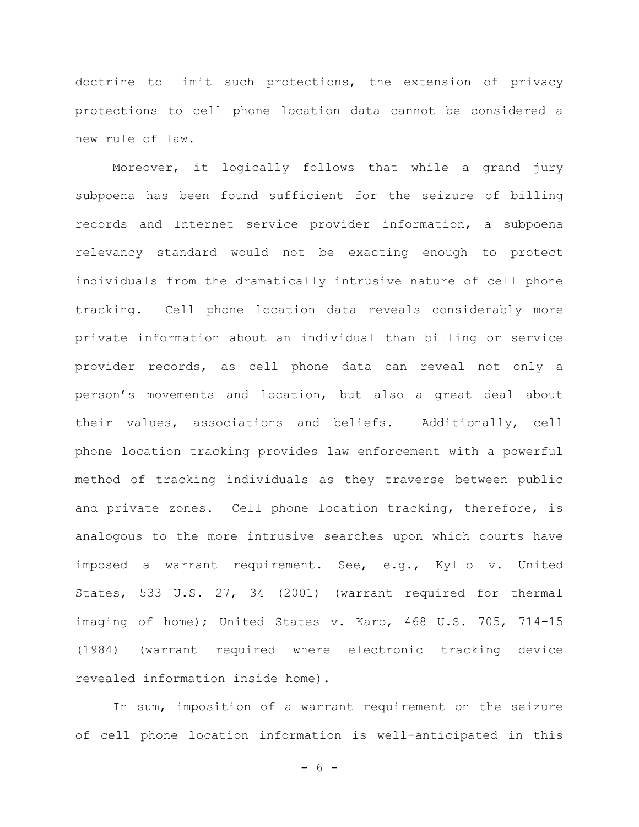doctrine to limit such protections, the extension of privacy protections to cell phone location data cannot be considered a new rule of law.

Moreover, it logically follows that while a grand jury subpoena has been found sufficient for the seizure of billing records and Internet service provider information, a subpoena relevancy standard would not be exacting enough to protect individuals from the dramatically intrusive nature of cell phone tracking. Cell phone location data reveals considerably more private information about an individual than billing or service provider records, as cell phone data can reveal not only a person's movements and location, but also a great deal about their values, associations and beliefs. Additionally, cell phone location tracking provides law enforcement with a powerful method of tracking individuals as they traverse between public and private zones. Cell phone location tracking, therefore, is analogous to the more intrusive searches upon which courts have imposed a warrant requirement. See, e.g., Kyllo v. United States, 533 U.S. 27, 34 (2001) (warrant required for thermal imaging of home); United States v. Karo, 468 U.S. 705, 714-15 (1984) (warrant required where electronic tracking device revealed information inside home).

In sum, imposition of a warrant requirement on the seizure of cell phone location information is well-anticipated in this

- 6 -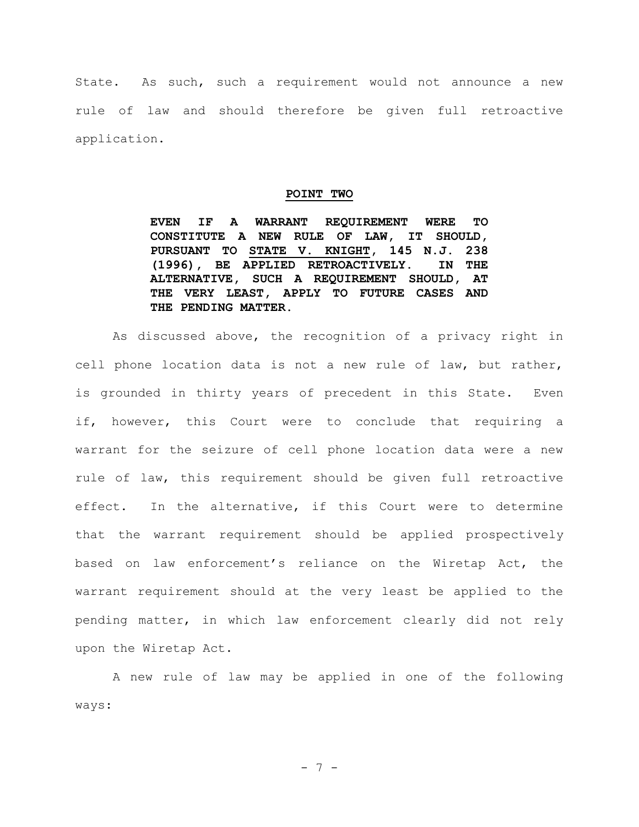State. As such, such a requirement would not announce a new rule of law and should therefore be given full retroactive application.

#### **POINT TWO**

**EVEN IF A WARRANT REQUIREMENT WERE TO CONSTITUTE A NEW RULE OF LAW, IT SHOULD, PURSUANT TO STATE V. KNIGHT, 145 N.J. 238 (1996), BE APPLIED RETROACTIVELY. IN THE ALTERNATIVE, SUCH A REQUIREMENT SHOULD, AT THE VERY LEAST, APPLY TO FUTURE CASES AND THE PENDING MATTER.**

As discussed above, the recognition of a privacy right in cell phone location data is not a new rule of law, but rather, is grounded in thirty years of precedent in this State. Even if, however, this Court were to conclude that requiring a warrant for the seizure of cell phone location data were a new rule of law, this requirement should be given full retroactive effect. In the alternative, if this Court were to determine that the warrant requirement should be applied prospectively based on law enforcement's reliance on the Wiretap Act, the warrant requirement should at the very least be applied to the pending matter, in which law enforcement clearly did not rely upon the Wiretap Act.

A new rule of law may be applied in one of the following ways:

- 7 -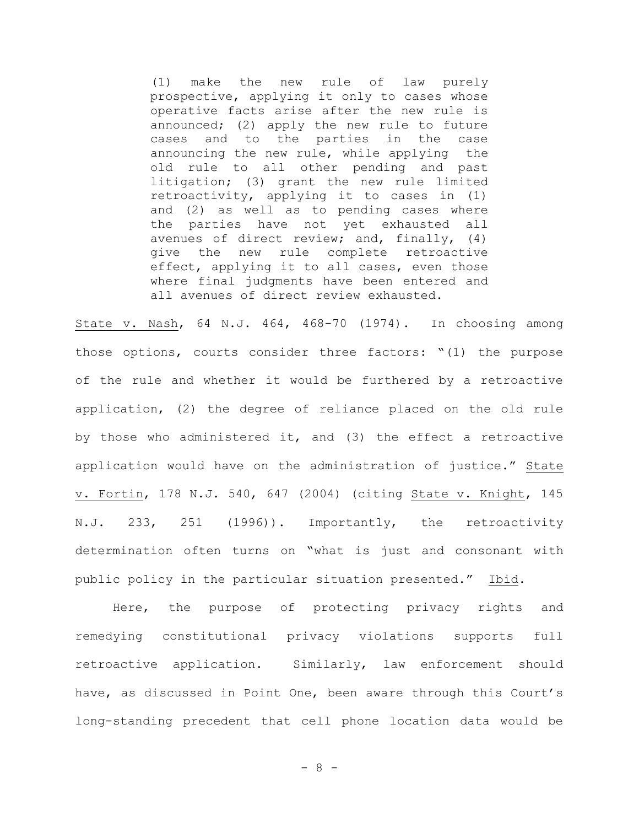(1) make the new rule of law purely prospective, applying it only to cases whose operative facts arise after the new rule is announced; (2) apply the new rule to future cases and to the parties in the case announcing the new rule, while applying the old rule to all other pending and past litigation; (3) grant the new rule limited retroactivity, applying it to cases in (1) and (2) as well as to pending cases where the parties have not yet exhausted all avenues of direct review; and, finally, (4) give the new rule complete retroactive effect, applying it to all cases, even those where final judgments have been entered and all avenues of direct review exhausted.

State v. Nash, 64 N.J. 464, 468-70 (1974). In choosing among those options, courts consider three factors: "(1) the purpose of the rule and whether it would be furthered by a retroactive application, (2) the degree of reliance placed on the old rule by those who administered it, and (3) the effect a retroactive application would have on the administration of justice." State v. Fortin, 178 N.J. 540, 647 (2004) (citing State v. Knight, 145 N.J. 233, 251 (1996)). Importantly, the retroactivity determination often turns on "what is just and consonant with public policy in the particular situation presented." Ibid.

Here, the purpose of protecting privacy rights and remedying constitutional privacy violations supports full retroactive application. Similarly, law enforcement should have, as discussed in Point One, been aware through this Court's long-standing precedent that cell phone location data would be

- 8 -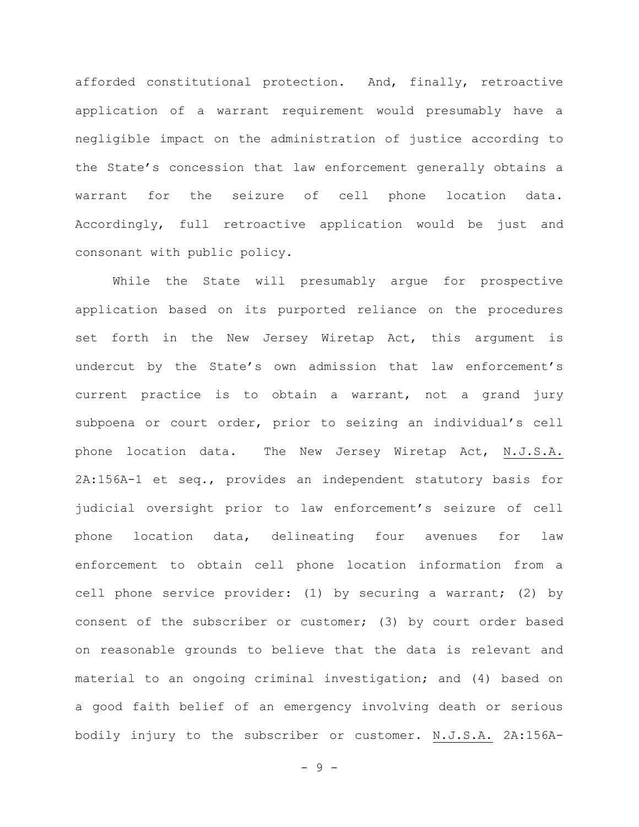afforded constitutional protection. And, finally, retroactive application of a warrant requirement would presumably have a negligible impact on the administration of justice according to the State's concession that law enforcement generally obtains a warrant for the seizure of cell phone location data. Accordingly, full retroactive application would be just and consonant with public policy.

While the State will presumably argue for prospective application based on its purported reliance on the procedures set forth in the New Jersey Wiretap Act, this argument is undercut by the State's own admission that law enforcement's current practice is to obtain a warrant, not a grand jury subpoena or court order, prior to seizing an individual's cell phone location data. The New Jersey Wiretap Act, N.J.S.A. 2A:156A-1 et seq., provides an independent statutory basis for judicial oversight prior to law enforcement's seizure of cell phone location data, delineating four avenues for law enforcement to obtain cell phone location information from a cell phone service provider: (1) by securing a warrant; (2) by consent of the subscriber or customer; (3) by court order based on reasonable grounds to believe that the data is relevant and material to an ongoing criminal investigation; and (4) based on a good faith belief of an emergency involving death or serious bodily injury to the subscriber or customer. N.J.S.A. 2A:156A-

- 9 -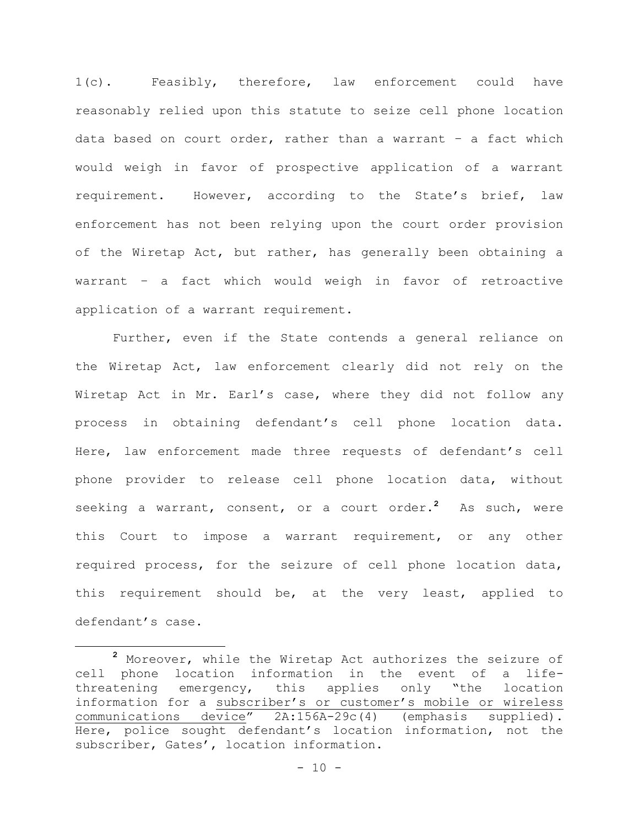1(c). Feasibly, therefore, law enforcement could have reasonably relied upon this statute to seize cell phone location data based on court order, rather than a warrant – a fact which would weigh in favor of prospective application of a warrant requirement. However, according to the State's brief, law enforcement has not been relying upon the court order provision of the Wiretap Act, but rather, has generally been obtaining a warrant – a fact which would weigh in favor of retroactive application of a warrant requirement.

Further, even if the State contends a general reliance on the Wiretap Act, law enforcement clearly did not rely on the Wiretap Act in Mr. Earl's case, where they did not follow any process in obtaining defendant's cell phone location data. Here, law enforcement made three requests of defendant's cell phone provider to release cell phone location data, without seeking a warrant, consent, or a court order.**<sup>2</sup>** As such, were this Court to impose a warrant requirement, or any other required process, for the seizure of cell phone location data, this requirement should be, at the very least, applied to defendant's case.

÷.

**<sup>2</sup>** Moreover, while the Wiretap Act authorizes the seizure of cell phone location information in the event of a lifethreatening emergency, this applies only "the location information for a subscriber's or customer's mobile or wireless communications device" 2A:156A-29c(4) (emphasis supplied). Here, police sought defendant's location information, not the subscriber, Gates', location information.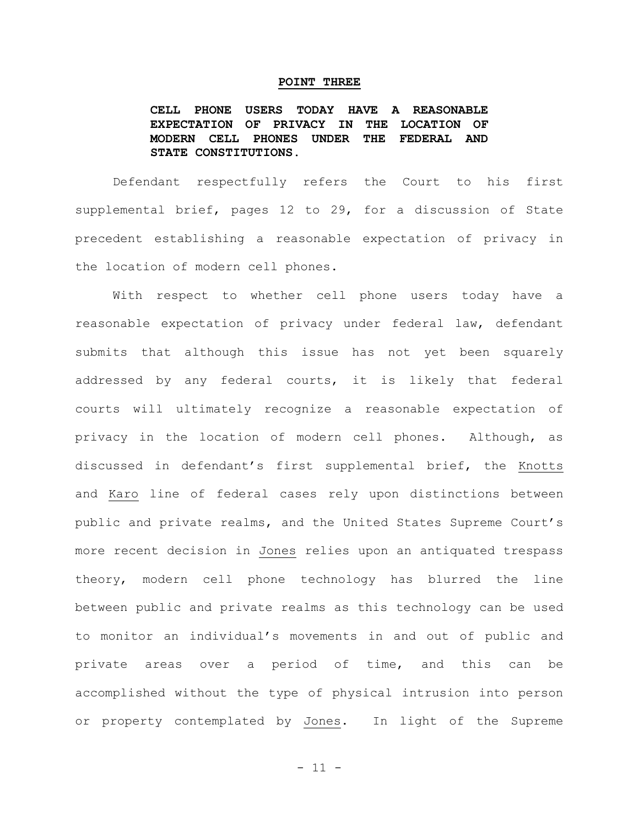#### **POINT THREE**

**CELL PHONE USERS TODAY HAVE A REASONABLE EXPECTATION OF PRIVACY IN THE LOCATION OF MODERN CELL PHONES UNDER THE FEDERAL AND STATE CONSTITUTIONS.**

Defendant respectfully refers the Court to his first supplemental brief, pages 12 to 29, for a discussion of State precedent establishing a reasonable expectation of privacy in the location of modern cell phones.

With respect to whether cell phone users today have a reasonable expectation of privacy under federal law, defendant submits that although this issue has not yet been squarely addressed by any federal courts, it is likely that federal courts will ultimately recognize a reasonable expectation of privacy in the location of modern cell phones. Although, as discussed in defendant's first supplemental brief, the Knotts and Karo line of federal cases rely upon distinctions between public and private realms, and the United States Supreme Court's more recent decision in Jones relies upon an antiquated trespass theory, modern cell phone technology has blurred the line between public and private realms as this technology can be used to monitor an individual's movements in and out of public and private areas over a period of time, and this can be accomplished without the type of physical intrusion into person or property contemplated by Jones. In light of the Supreme

- 11 -